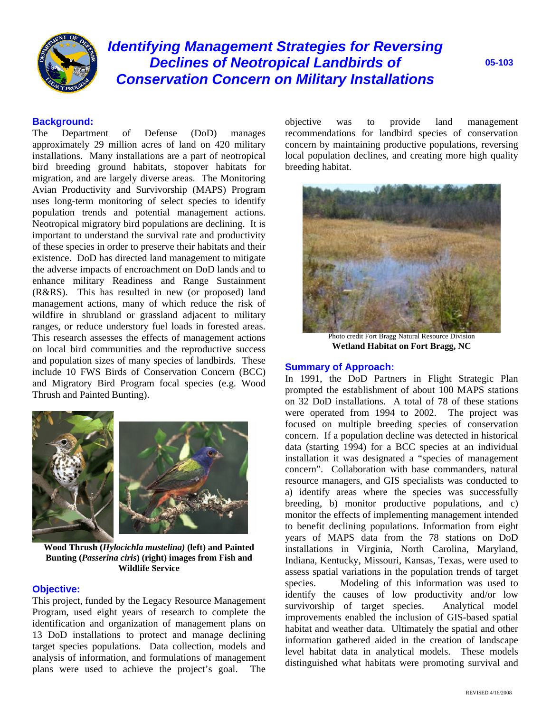

# *Identifying Management Strategies for Reversing Declines of Neotropical Landbirds of Conservation Concern on Military Installations*

**05-103**

# **Background:**

The Department of Defense (DoD) manages approximately 29 million acres of land on 420 military installations. Many installations are a part of neotropical bird breeding ground habitats, stopover habitats for migration, and are largely diverse areas. The Monitoring Avian Productivity and Survivorship (MAPS) Program uses long-term monitoring of select species to identify population trends and potential management actions. Neotropical migratory bird populations are declining. It is important to understand the survival rate and productivity of these species in order to preserve their habitats and their existence. DoD has directed land management to mitigate the adverse impacts of encroachment on DoD lands and to enhance military Readiness and Range Sustainment (R&RS). This has resulted in new (or proposed) land management actions, many of which reduce the risk of wildfire in shrubland or grassland adjacent to military ranges, or reduce understory fuel loads in forested areas. This research assesses the effects of management actions on local bird communities and the reproductive success and population sizes of many species of landbirds. These include 10 FWS Birds of Conservation Concern (BCC) and Migratory Bird Program focal species (e.g. Wood Thrush and Painted Bunting).



**Wood Thrush (***Hylocichla mustelina)* **(left) and Painted Bunting (***Passerina ciris***) (right) images from Fish and Wildlife Service** 

## **Objective:**

This project, funded by the Legacy Resource Management Program, used eight years of research to complete the identification and organization of management plans on 13 DoD installations to protect and manage declining target species populations. Data collection, models and analysis of information, and formulations of management plans were used to achieve the project's goal. The objective was to provide land management recommendations for landbird species of conservation concern by maintaining productive populations, reversing local population declines, and creating more high quality breeding habitat.



Photo credit Fort Bragg Natural Resource Division **Wetland Habitat on Fort Bragg, NC** 

## **Summary of Approach:**

In 1991, the DoD Partners in Flight Strategic Plan prompted the establishment of about 100 MAPS stations on 32 DoD installations. A total of 78 of these stations were operated from 1994 to 2002. The project was focused on multiple breeding species of conservation concern. If a population decline was detected in historical data (starting 1994) for a BCC species at an individual installation it was designated a "species of management concern". Collaboration with base commanders, natural resource managers, and GIS specialists was conducted to a) identify areas where the species was successfully breeding, b) monitor productive populations, and c) monitor the effects of implementing management intended to benefit declining populations. Information from eight years of MAPS data from the 78 stations on DoD installations in Virginia, North Carolina, Maryland, Indiana, Kentucky, Missouri, Kansas, Texas, were used to assess spatial variations in the population trends of target species. Modeling of this information was used to identify the causes of low productivity and/or low survivorship of target species. Analytical model improvements enabled the inclusion of GIS-based spatial habitat and weather data. Ultimately the spatial and other information gathered aided in the creation of landscape level habitat data in analytical models. These models distinguished what habitats were promoting survival and